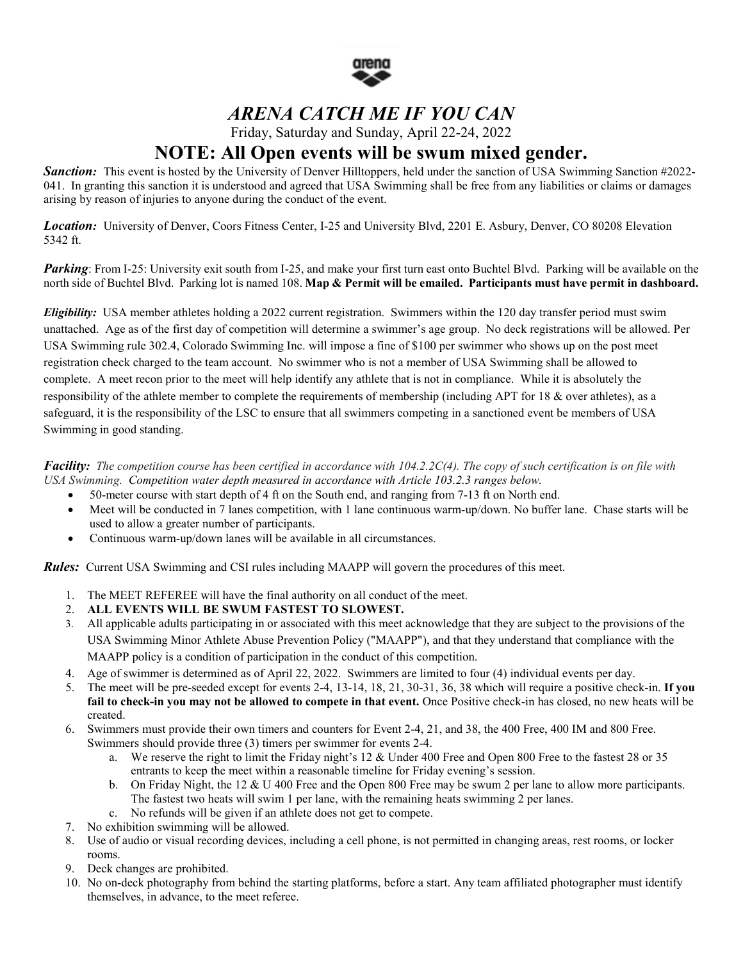

## *ARENA CATCH ME IF YOU CAN*

Friday, Saturday and Sunday, April 22-24, 2022

## **NOTE: All Open events will be swum mixed gender.**

**Sanction:** This event is hosted by the University of Denver Hilltoppers, held under the sanction of USA Swimming Sanction #2022-041. In granting this sanction it is understood and agreed that USA Swimming shall be free from any liabilities or claims or damages arising by reason of injuries to anyone during the conduct of the event.

*Location:* University of Denver, Coors Fitness Center, I-25 and University Blvd, 2201 E. Asbury, Denver, CO 80208 Elevation 5342 ft.

*Parking*: From I-25: University exit south from I-25, and make your first turn east onto Buchtel Blvd. Parking will be available on the north side of Buchtel Blvd. Parking lot is named 108. **Map & Permit will be emailed. Participants must have permit in dashboard.**

*Eligibility:* USA member athletes holding a 2022 current registration. Swimmers within the 120 day transfer period must swim unattached. Age as of the first day of competition will determine a swimmer's age group. No deck registrations will be allowed. Per USA Swimming rule 302.4, Colorado Swimming Inc. will impose a fine of \$100 per swimmer who shows up on the post meet registration check charged to the team account. No swimmer who is not a member of USA Swimming shall be allowed to complete. A meet recon prior to the meet will help identify any athlete that is not in compliance. While it is absolutely the responsibility of the athlete member to complete the requirements of membership (including APT for 18 & over athletes), as a safeguard, it is the responsibility of the LSC to ensure that all swimmers competing in a sanctioned event be members of USA Swimming in good standing.

*Facility: The competition course has been certified in accordance with 104.2.2C(4). The copy of such certification is on file with USA Swimming. Competition water depth measured in accordance with Article 103.2.3 ranges below.* 

- 50-meter course with start depth of 4 ft on the South end, and ranging from 7-13 ft on North end.
- Meet will be conducted in 7 lanes competition, with 1 lane continuous warm-up/down. No buffer lane. Chase starts will be used to allow a greater number of participants.
- Continuous warm-up/down lanes will be available in all circumstances.

*Rules:* Current USA Swimming and CSI rules including MAAPP will govern the procedures of this meet.

- 1. The MEET REFEREE will have the final authority on all conduct of the meet.
- 2. **ALL EVENTS WILL BE SWUM FASTEST TO SLOWEST.**
- 3. All applicable adults participating in or associated with this meet acknowledge that they are subject to the provisions of the USA Swimming Minor Athlete Abuse Prevention Policy ("MAAPP"), and that they understand that compliance with the MAAPP policy is a condition of participation in the conduct of this competition.
- 4. Age of swimmer is determined as of April 22, 2022. Swimmers are limited to four (4) individual events per day.
- 5. The meet will be pre-seeded except for events 2-4, 13-14, 18, 21, 30-31, 36, 38 which will require a positive check-in. **If you fail to check-in you may not be allowed to compete in that event.** Once Positive check-in has closed, no new heats will be created.
- 6. Swimmers must provide their own timers and counters for Event 2-4, 21, and 38, the 400 Free, 400 IM and 800 Free. Swimmers should provide three (3) timers per swimmer for events 2-4.
	- a. We reserve the right to limit the Friday night's 12 & Under 400 Free and Open 800 Free to the fastest 28 or 35 entrants to keep the meet within a reasonable timeline for Friday evening's session.
	- b. On Friday Night, the 12 & U 400 Free and the Open 800 Free may be swum 2 per lane to allow more participants. The fastest two heats will swim 1 per lane, with the remaining heats swimming 2 per lanes.
	- c. No refunds will be given if an athlete does not get to compete.
- 7. No exhibition swimming will be allowed.
- 8. Use of audio or visual recording devices, including a cell phone, is not permitted in changing areas, rest rooms, or locker rooms.
- 9. Deck changes are prohibited.
- 10. No on-deck photography from behind the starting platforms, before a start. Any team affiliated photographer must identify themselves, in advance, to the meet referee.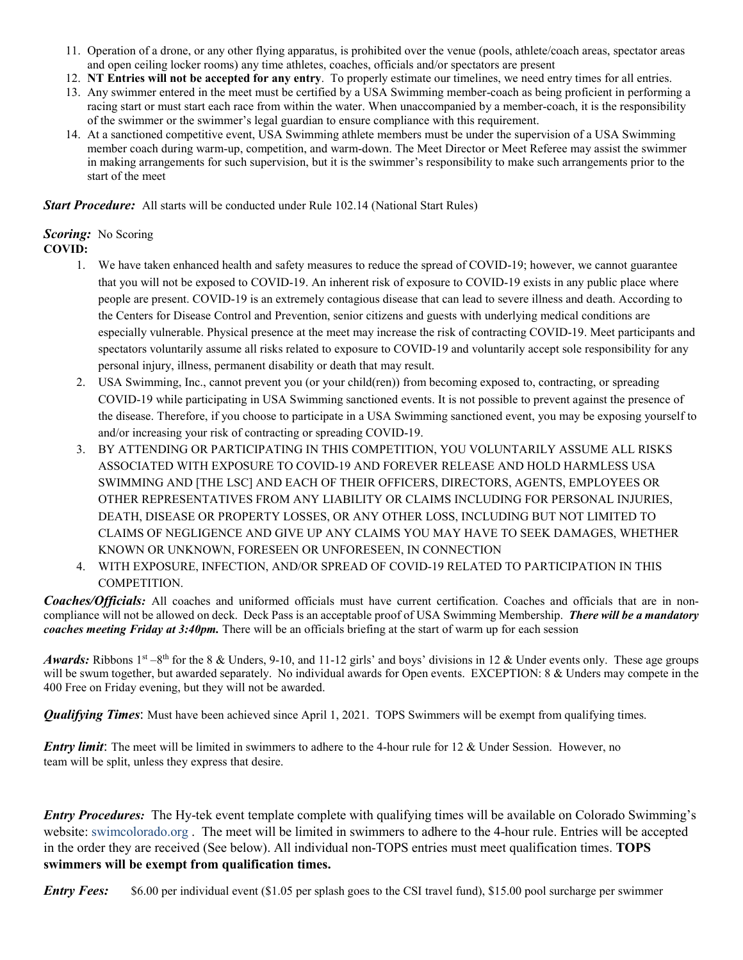- 11. Operation of a drone, or any other flying apparatus, is prohibited over the venue (pools, athlete/coach areas, spectator areas and open ceiling locker rooms) any time athletes, coaches, officials and/or spectators are present
- 12. **NT Entries will not be accepted for any entry**. To properly estimate our timelines, we need entry times for all entries.
- 13. Any swimmer entered in the meet must be certified by a USA Swimming member-coach as being proficient in performing a racing start or must start each race from within the water. When unaccompanied by a member-coach, it is the responsibility of the swimmer or the swimmer's legal guardian to ensure compliance with this requirement.
- 14. At a sanctioned competitive event, USA Swimming athlete members must be under the supervision of a USA Swimming member coach during warm-up, competition, and warm-down. The Meet Director or Meet Referee may assist the swimmer in making arrangements for such supervision, but it is the swimmer's responsibility to make such arrangements prior to the start of the meet

*Start Procedure:* All starts will be conducted under Rule 102.14 (National Start Rules)

## **Scoring:** No Scoring **COVID:**

- 1. We have taken enhanced health and safety measures to reduce the spread of COVID-19; however, we cannot guarantee that you will not be exposed to COVID-19. An inherent risk of exposure to COVID-19 exists in any public place where people are present. COVID-19 is an extremely contagious disease that can lead to severe illness and death. According to the Centers for Disease Control and Prevention, senior citizens and guests with underlying medical conditions are especially vulnerable. Physical presence at the meet may increase the risk of contracting COVID-19. Meet participants and spectators voluntarily assume all risks related to exposure to COVID-19 and voluntarily accept sole responsibility for any personal injury, illness, permanent disability or death that may result.
- 2. USA Swimming, Inc., cannot prevent you (or your child(ren)) from becoming exposed to, contracting, or spreading COVID-19 while participating in USA Swimming sanctioned events. It is not possible to prevent against the presence of the disease. Therefore, if you choose to participate in a USA Swimming sanctioned event, you may be exposing yourself to and/or increasing your risk of contracting or spreading COVID-19.
- 3. BY ATTENDING OR PARTICIPATING IN THIS COMPETITION, YOU VOLUNTARILY ASSUME ALL RISKS ASSOCIATED WITH EXPOSURE TO COVID-19 AND FOREVER RELEASE AND HOLD HARMLESS USA SWIMMING AND [THE LSC] AND EACH OF THEIR OFFICERS, DIRECTORS, AGENTS, EMPLOYEES OR OTHER REPRESENTATIVES FROM ANY LIABILITY OR CLAIMS INCLUDING FOR PERSONAL INJURIES, DEATH, DISEASE OR PROPERTY LOSSES, OR ANY OTHER LOSS, INCLUDING BUT NOT LIMITED TO CLAIMS OF NEGLIGENCE AND GIVE UP ANY CLAIMS YOU MAY HAVE TO SEEK DAMAGES, WHETHER KNOWN OR UNKNOWN, FORESEEN OR UNFORESEEN, IN CONNECTION
- 4. WITH EXPOSURE, INFECTION, AND/OR SPREAD OF COVID-19 RELATED TO PARTICIPATION IN THIS COMPETITION.

*Coaches/Officials:* All coaches and uniformed officials must have current certification. Coaches and officials that are in noncompliance will not be allowed on deck. Deck Pass is an acceptable proof of USA Swimming Membership. *There will be a mandatory coaches meeting Friday at 3:40pm.* There will be an officials briefing at the start of warm up for each session

*Awards:* Ribbons 1<sup>st</sup> –8<sup>th</sup> for the 8 & Unders, 9-10, and 11-12 girls' and boys' divisions in 12 & Under events only. These age groups will be swum together, but awarded separately. No individual awards for Open events. EXCEPTION: 8 & Unders may compete in the 400 Free on Friday evening, but they will not be awarded.

*Qualifying Times*: Must have been achieved since April 1, 2021. TOPS Swimmers will be exempt from qualifying times.

*Entry limit*: The meet will be limited in swimmers to adhere to the 4-hour rule for 12 & Under Session. However, no team will be split, unless they express that desire.

*Entry Procedures:* The Hy-tek event template complete with qualifying times will be available on Colorado Swimming's website: swimcolorado.org. The meet will be limited in swimmers to adhere to the 4-hour rule. Entries will be accepted in the order they are received (See below). All individual non-TOPS entries must meet qualification times. **TOPS swimmers will be exempt from qualification times.**

*Entry Fees:* \$6.00 per individual event (\$1.05 per splash goes to the CSI travel fund), \$15.00 pool surcharge per swimmer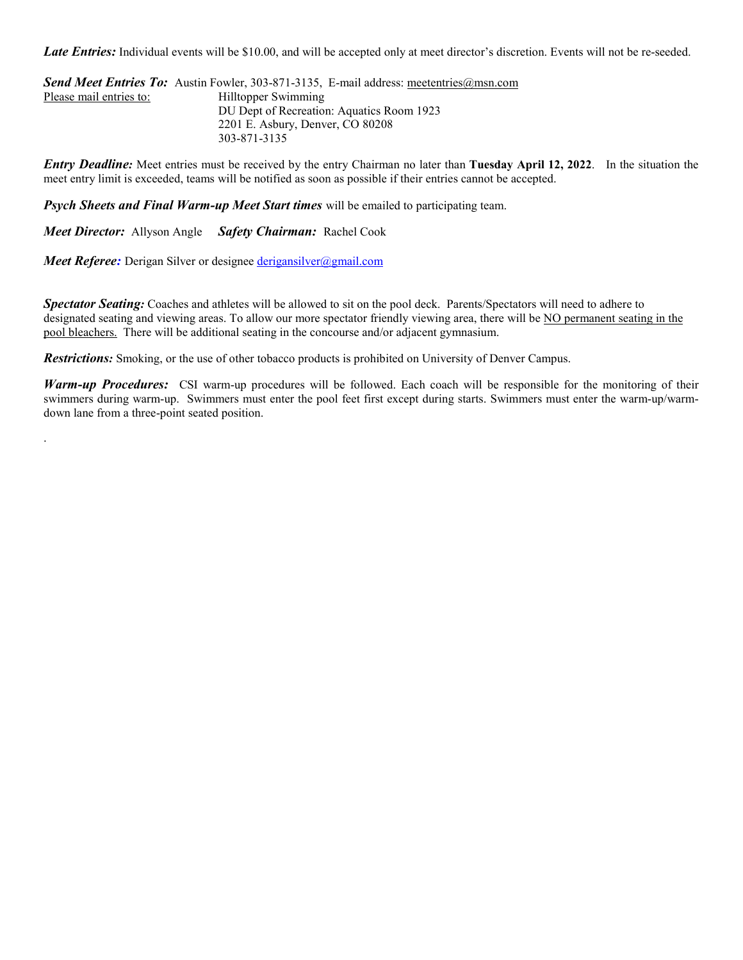*Late Entries:* Individual events will be \$10.00, and will be accepted only at meet director's discretion. Events will not be re-seeded.

*Send Meet Entries To:* Austin Fowler, 303-871-3135, E-mail address: meetentries@msn.com Please mail entries to: Hilltopper Swimming DU Dept of Recreation: Aquatics Room 1923 2201 E. Asbury, Denver, CO 80208 303-871-3135

*Entry Deadline:* Meet entries must be received by the entry Chairman no later than **Tuesday April 12, 2022**. In the situation the meet entry limit is exceeded, teams will be notified as soon as possible if their entries cannot be accepted.

*Psych Sheets and Final Warm-up Meet Start times* will be emailed to participating team.

*Meet Director:* Allyson Angle *Safety Chairman:* Rachel Cook

*Meet Referee:* Derigan Silver or designee [derigansilver@gmail.com](mailto:derigansilver@gmail.com)

.

**Spectator Seating:** Coaches and athletes will be allowed to sit on the pool deck. Parents/Spectators will need to adhere to designated seating and viewing areas. To allow our more spectator friendly viewing area, there will be NO permanent seating in the pool bleachers. There will be additional seating in the concourse and/or adjacent gymnasium.

*Restrictions:* Smoking, or the use of other tobacco products is prohibited on University of Denver Campus.

*Warm-up Procedures:* CSI warm-up procedures will be followed. Each coach will be responsible for the monitoring of their swimmers during warm-up. Swimmers must enter the pool feet first except during starts. Swimmers must enter the warm-up/warmdown lane from a three-point seated position.